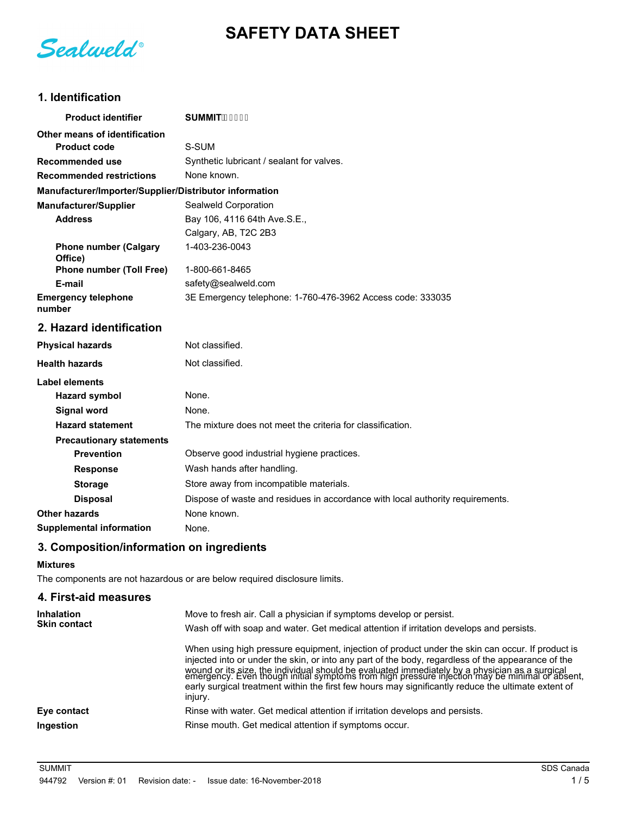**SAFETY DATA SHEET**

Sealweld®

# **1. Identification**

| <b>Product identifier</b>                              | $SUMMIT$ +\$' \$                                                               |
|--------------------------------------------------------|--------------------------------------------------------------------------------|
| Other means of identification                          |                                                                                |
| <b>Product code</b>                                    | S-SUM                                                                          |
| <b>Recommended use</b>                                 | Synthetic lubricant / sealant for valves.                                      |
| <b>Recommended restrictions</b>                        | None known.                                                                    |
| Manufacturer/Importer/Supplier/Distributor information |                                                                                |
| <b>Manufacturer/Supplier</b>                           | Sealweld Corporation                                                           |
| <b>Address</b>                                         | Bay 106, 4116 64th Ave.S.E.,                                                   |
|                                                        | Calgary, AB, T2C 2B3                                                           |
| <b>Phone number (Calgary</b><br>Office)                | 1-403-236-0043                                                                 |
| <b>Phone number (Toll Free)</b>                        | 1-800-661-8465                                                                 |
| E-mail                                                 | safety@sealweld.com                                                            |
| <b>Emergency telephone</b><br>number                   | 3E Emergency telephone: 1-760-476-3962 Access code: 333035                     |
| 2. Hazard identification                               |                                                                                |
| <b>Physical hazards</b>                                | Not classified.                                                                |
| <b>Health hazards</b>                                  | Not classified.                                                                |
| Label elements                                         |                                                                                |
| <b>Hazard symbol</b>                                   | None.                                                                          |
| <b>Signal word</b>                                     | None.                                                                          |
| <b>Hazard statement</b>                                | The mixture does not meet the criteria for classification.                     |
| <b>Precautionary statements</b>                        |                                                                                |
| <b>Prevention</b>                                      | Observe good industrial hygiene practices.                                     |
| <b>Response</b>                                        | Wash hands after handling.                                                     |
| <b>Storage</b>                                         | Store away from incompatible materials.                                        |
| <b>Disposal</b>                                        | Dispose of waste and residues in accordance with local authority requirements. |
| Other hazards                                          | None known.                                                                    |
| <b>Supplemental information</b>                        | None.                                                                          |
|                                                        |                                                                                |

# **3. Composition/information on ingredients**

#### **Mixtures**

The components are not hazardous or are below required disclosure limits.

## **4. First-aid measures**

| <b>Inhalation</b><br><b>Skin contact</b> | Move to fresh air. Call a physician if symptoms develop or persist.                                                                                                                                                                                                                                                                                                                                                                                                                                                          |
|------------------------------------------|------------------------------------------------------------------------------------------------------------------------------------------------------------------------------------------------------------------------------------------------------------------------------------------------------------------------------------------------------------------------------------------------------------------------------------------------------------------------------------------------------------------------------|
|                                          | Wash off with soap and water. Get medical attention if irritation develops and persists.                                                                                                                                                                                                                                                                                                                                                                                                                                     |
|                                          | When using high pressure equipment, injection of product under the skin can occur. If product is<br>injected into or under the skin, or into any part of the body, regardless of the appearance of the<br>wound or its size, the individual should be evaluated immediately by a physician as a surgical<br>emergency. Even though initial symptoms from high pressure injection may be minimal or absent,<br>early surgical treatment within the first few hours may significantly reduce the ultimate extent of<br>injury. |
| Eye contact                              | Rinse with water. Get medical attention if irritation develops and persists.                                                                                                                                                                                                                                                                                                                                                                                                                                                 |
| Ingestion                                | Rinse mouth. Get medical attention if symptoms occur.                                                                                                                                                                                                                                                                                                                                                                                                                                                                        |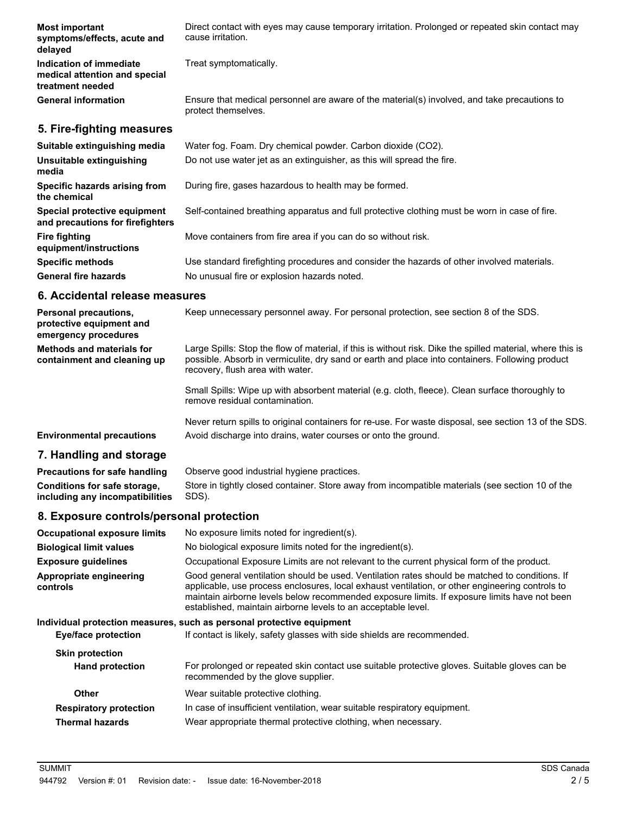| <b>Most important</b><br>symptoms/effects, acute and<br>delayed              | Direct contact with eyes may cause temporary irritation. Prolonged or repeated skin contact may<br>cause irritation. |
|------------------------------------------------------------------------------|----------------------------------------------------------------------------------------------------------------------|
| Indication of immediate<br>medical attention and special<br>treatment needed | Treat symptomatically.                                                                                               |
| <b>General information</b>                                                   | Ensure that medical personnel are aware of the material(s) involved, and take precautions to<br>protect themselves.  |
| 5. Fire-fighting measures                                                    |                                                                                                                      |
| Suitable extinguishing media                                                 | Water fog. Foam. Dry chemical powder. Carbon dioxide (CO2).                                                          |
| Unsuitable extinguishing<br>media                                            | Do not use water jet as an extinguisher, as this will spread the fire.                                               |
| Specific hazards arising from<br>the chemical                                | During fire, gases hazardous to health may be formed.                                                                |

**Special protective equipment** Self-contained breathing apparatus and full protective clothing must be worn in case of fire. **and precautions for firefighters**

**Fire fighting** Move containers from fire area if you can do so without risk.

**Specific methods** Use standard firefighting procedures and consider the hazards of other involved materials. General fire hazards **No unusual fire or explosion hazards noted.** 

# **6. Accidental release measures**

**equipment/instructions**

| <b>Personal precautions.</b><br>protective equipment and<br>emergency procedures | Keep unnecessary personnel away. For personal protection, see section 8 of the SDS.                                                                                                                                                               |
|----------------------------------------------------------------------------------|---------------------------------------------------------------------------------------------------------------------------------------------------------------------------------------------------------------------------------------------------|
| <b>Methods and materials for</b><br>containment and cleaning up                  | Large Spills: Stop the flow of material, if this is without risk. Dike the spilled material, where this is<br>possible. Absorb in vermiculite, dry sand or earth and place into containers. Following product<br>recovery, flush area with water. |
|                                                                                  | Small Spills: Wipe up with absorbent material (e.g. cloth, fleece). Clean surface thoroughly to<br>remove residual contamination.                                                                                                                 |
|                                                                                  | Never return spills to original containers for re-use. For waste disposal, see section 13 of the SDS.                                                                                                                                             |

**Environmental precautions** Avoid discharge into drains, water courses or onto the ground.

## **7. Handling and storage**

**Precautions for safe handling** Observe good industrial hygiene practices. Store in tightly closed container. Store away from incompatible materials (see section 10 of the SDS). **Conditions for safe storage, including any incompatibilities**

## **8. Exposure controls/personal protection**

| <b>Occupational exposure limits</b>        | No exposure limits noted for ingredient(s).                                                                                                                                                                                                                                                                                                                        |
|--------------------------------------------|--------------------------------------------------------------------------------------------------------------------------------------------------------------------------------------------------------------------------------------------------------------------------------------------------------------------------------------------------------------------|
| <b>Biological limit values</b>             | No biological exposure limits noted for the ingredient(s).                                                                                                                                                                                                                                                                                                         |
| <b>Exposure guidelines</b>                 | Occupational Exposure Limits are not relevant to the current physical form of the product.                                                                                                                                                                                                                                                                         |
| Appropriate engineering<br><b>controls</b> | Good general ventilation should be used. Ventilation rates should be matched to conditions. If<br>applicable, use process enclosures, local exhaust ventilation, or other engineering controls to<br>maintain airborne levels below recommended exposure limits. If exposure limits have not been<br>established, maintain airborne levels to an acceptable level. |
|                                            | Individual protection measures, such as personal protective equipment                                                                                                                                                                                                                                                                                              |
| <b>Eye/face protection</b>                 | If contact is likely, safety glasses with side shields are recommended.                                                                                                                                                                                                                                                                                            |
| <b>Skin protection</b>                     |                                                                                                                                                                                                                                                                                                                                                                    |
| <b>Hand protection</b>                     | For prolonged or repeated skin contact use suitable protective gloves. Suitable gloves can be<br>recommended by the glove supplier.                                                                                                                                                                                                                                |
| <b>Other</b>                               | Wear suitable protective clothing.                                                                                                                                                                                                                                                                                                                                 |
| <b>Respiratory protection</b>              | In case of insufficient ventilation, wear suitable respiratory equipment.                                                                                                                                                                                                                                                                                          |
| <b>Thermal hazards</b>                     | Wear appropriate thermal protective clothing, when necessary.                                                                                                                                                                                                                                                                                                      |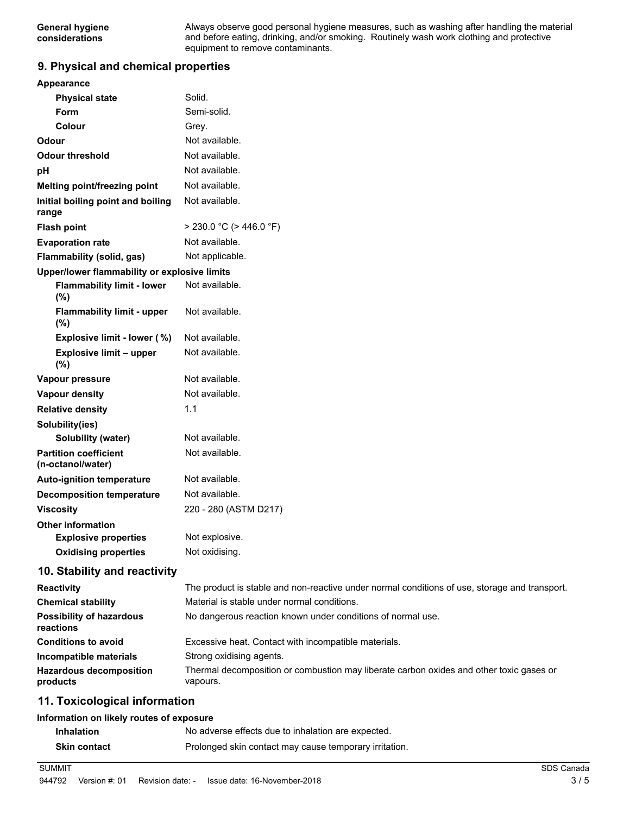Always observe good personal hygiene measures, such as washing after handling the material and before eating, drinking, and/or smoking. Routinely wash work clothing and protective equipment to remove contaminants.

### **9. Physical and chemical properties**

| <b>Appearance</b>                                 |                                                                                               |
|---------------------------------------------------|-----------------------------------------------------------------------------------------------|
| <b>Physical state</b>                             | Solid.                                                                                        |
| Form                                              | Semi-solid.                                                                                   |
| Colour                                            | Grey.                                                                                         |
| Odour                                             | Not available.                                                                                |
| <b>Odour threshold</b>                            | Not available.                                                                                |
| рH                                                | Not available.                                                                                |
| Melting point/freezing point                      | Not available.                                                                                |
| Initial boiling point and boiling<br>range        | Not available.                                                                                |
| <b>Flash point</b>                                | $>$ 230.0 °C ( $>$ 446.0 °F)                                                                  |
| <b>Evaporation rate</b>                           | Not available.                                                                                |
| Flammability (solid, gas)                         | Not applicable.                                                                               |
| Upper/lower flammability or explosive limits      |                                                                                               |
| <b>Flammability limit - lower</b><br>(%)          | Not available.                                                                                |
| <b>Flammability limit - upper</b><br>(%)          | Not available.                                                                                |
| Explosive limit - lower (%)                       | Not available.                                                                                |
| <b>Explosive limit - upper</b><br>(%)             | Not available.                                                                                |
| Vapour pressure                                   | Not available.                                                                                |
| <b>Vapour density</b>                             | Not available.                                                                                |
| <b>Relative density</b>                           | 1.1                                                                                           |
| Solubility(ies)                                   |                                                                                               |
| <b>Solubility (water)</b>                         | Not available.                                                                                |
| <b>Partition coefficient</b><br>(n-octanol/water) | Not available.                                                                                |
| <b>Auto-ignition temperature</b>                  | Not available.                                                                                |
| <b>Decomposition temperature</b>                  | Not available.                                                                                |
| <b>Viscosity</b>                                  | 220 - 280 (ASTM D217)                                                                         |
| <b>Other information</b>                          |                                                                                               |
| <b>Explosive properties</b>                       | Not explosive                                                                                 |
| <b>Oxidising properties</b>                       | Not oxidising.                                                                                |
| 10. Stability and reactivity                      |                                                                                               |
| <b>Reactivity</b>                                 | The product is stable and non-reactive under normal conditions of use, storage and transport. |
| <b>Chemical stability</b>                         | Material is stable under normal conditions.                                                   |
| <b>Possibility of hazardous</b><br>reactions      | No dangerous reaction known under conditions of normal use.                                   |
| <b>Conditions to avoid</b>                        | Excessive heat. Contact with incompatible materials.                                          |

**Incompatible materials** Strong oxidising agents. Thermal decomposition or combustion may liberate carbon oxides and other toxic gases or vapours. **Hazardous decomposition products**

## **11. Toxicological information**

#### **Information on likely routes of exposure**

| <b>Inhalation</b>   | No adverse effects due to inhalation are expected.     |
|---------------------|--------------------------------------------------------|
| <b>Skin contact</b> | Prolonged skin contact may cause temporary irritation. |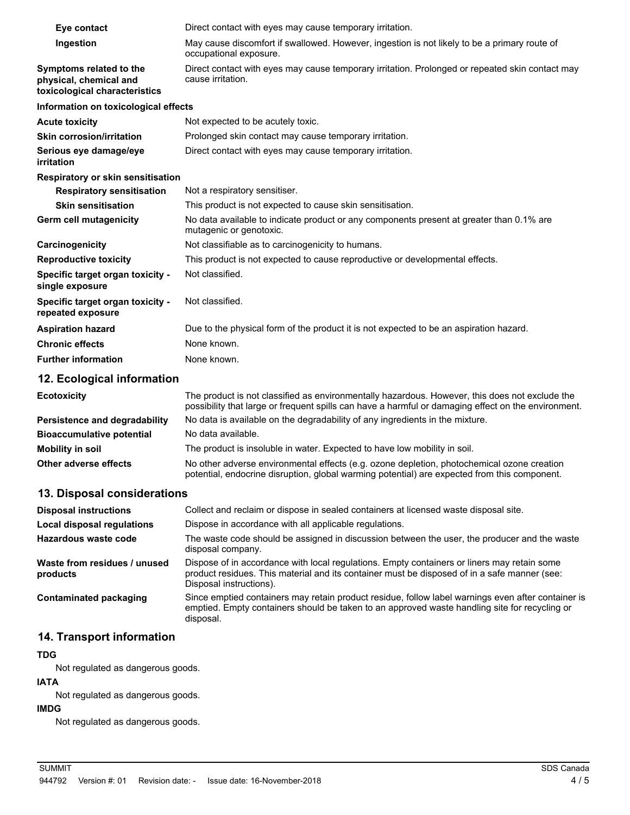| Eye contact                                                                        | Direct contact with eyes may cause temporary irritation.                                                               |
|------------------------------------------------------------------------------------|------------------------------------------------------------------------------------------------------------------------|
| Ingestion                                                                          | May cause discomfort if swallowed. However, ingestion is not likely to be a primary route of<br>occupational exposure. |
| Symptoms related to the<br>physical, chemical and<br>toxicological characteristics | Direct contact with eyes may cause temporary irritation. Prolonged or repeated skin contact may<br>cause irritation.   |
| Information on toxicological effects                                               |                                                                                                                        |
| <b>Acute toxicity</b>                                                              | Not expected to be acutely toxic.                                                                                      |
| <b>Skin corrosion/irritation</b>                                                   | Prolonged skin contact may cause temporary irritation.                                                                 |
| Serious eye damage/eye<br>irritation                                               | Direct contact with eyes may cause temporary irritation.                                                               |
| <b>Respiratory or skin sensitisation</b>                                           |                                                                                                                        |
| <b>Respiratory sensitisation</b>                                                   | Not a respiratory sensitiser.                                                                                          |
| <b>Skin sensitisation</b>                                                          | This product is not expected to cause skin sensitisation.                                                              |
| Germ cell mutagenicity                                                             | No data available to indicate product or any components present at greater than 0.1% are<br>mutagenic or genotoxic.    |
| Carcinogenicity                                                                    | Not classifiable as to carcinogenicity to humans.                                                                      |
| <b>Reproductive toxicity</b>                                                       | This product is not expected to cause reproductive or developmental effects.                                           |
| Specific target organ toxicity -<br>single exposure                                | Not classified.                                                                                                        |
| Specific target organ toxicity -<br>repeated exposure                              | Not classified.                                                                                                        |
| <b>Aspiration hazard</b>                                                           | Due to the physical form of the product it is not expected to be an aspiration hazard.                                 |
| <b>Chronic effects</b>                                                             | None known.                                                                                                            |
| <b>Further information</b>                                                         | None known.                                                                                                            |

# **12. Ecological information**

| <b>Ecotoxicity</b>               | The product is not classified as environmentally hazardous. However, this does not exclude the<br>possibility that large or frequent spills can have a harmful or damaging effect on the environment. |
|----------------------------------|-------------------------------------------------------------------------------------------------------------------------------------------------------------------------------------------------------|
| Persistence and degradability    | No data is available on the degradability of any ingredients in the mixture.                                                                                                                          |
| <b>Bioaccumulative potential</b> | No data available.                                                                                                                                                                                    |
| Mobility in soil                 | The product is insoluble in water. Expected to have low mobility in soil.                                                                                                                             |
| Other adverse effects            | No other adverse environmental effects (e.g. ozone depletion, photochemical ozone creation<br>potential, endocrine disruption, global warming potential) are expected from this component.            |

# **13. Disposal considerations**

| <b>Disposal instructions</b>             | Collect and reclaim or dispose in sealed containers at licensed waste disposal site.                                                                                                                                   |
|------------------------------------------|------------------------------------------------------------------------------------------------------------------------------------------------------------------------------------------------------------------------|
| <b>Local disposal regulations</b>        | Dispose in accordance with all applicable regulations.                                                                                                                                                                 |
| Hazardous waste code                     | The waste code should be assigned in discussion between the user, the producer and the waste<br>disposal company.                                                                                                      |
| Waste from residues / unused<br>products | Dispose of in accordance with local regulations. Empty containers or liners may retain some<br>product residues. This material and its container must be disposed of in a safe manner (see:<br>Disposal instructions). |
| Contaminated packaging                   | Since emptied containers may retain product residue, follow label warnings even after container is<br>emptied. Empty containers should be taken to an approved waste handling site for recycling or<br>disposal.       |

# **14. Transport information**

## **TDG**

Not regulated as dangerous goods.

# **IATA**

Not regulated as dangerous goods.

# **IMDG**

Not regulated as dangerous goods.